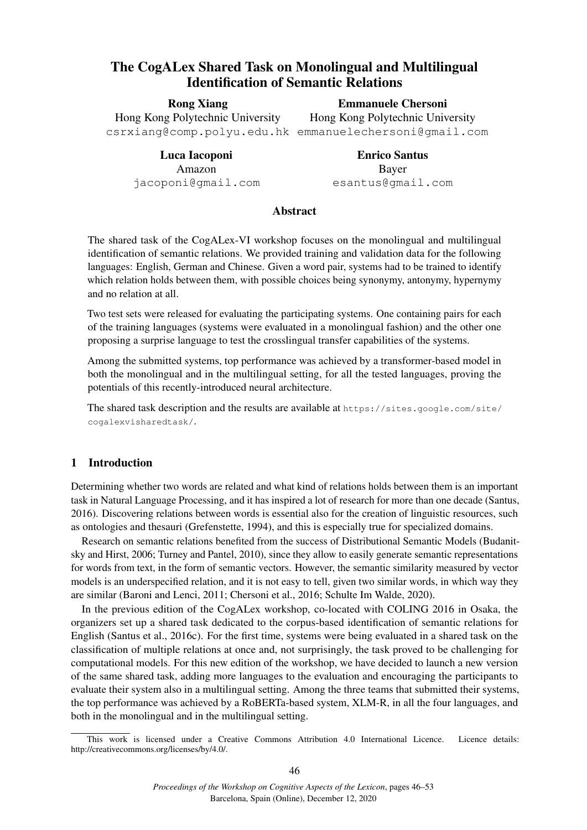# The CogALex Shared Task on Monolingual and Multilingual Identification of Semantic Relations

Rong Xiang

Emmanuele Chersoni Hong Kong Polytechnic University

Hong Kong Polytechnic University csrxiang@comp.polyu.edu.hk emmanuelechersoni@gmail.com

Luca Iacoponi Amazon jacoponi@gmail.com

Enrico Santus Bayer esantus@gmail.com

# Abstract

The shared task of the CogALex-VI workshop focuses on the monolingual and multilingual identification of semantic relations. We provided training and validation data for the following languages: English, German and Chinese. Given a word pair, systems had to be trained to identify which relation holds between them, with possible choices being synonymy, antonymy, hypernymy and no relation at all.

Two test sets were released for evaluating the participating systems. One containing pairs for each of the training languages (systems were evaluated in a monolingual fashion) and the other one proposing a surprise language to test the crosslingual transfer capabilities of the systems.

Among the submitted systems, top performance was achieved by a transformer-based model in both the monolingual and in the multilingual setting, for all the tested languages, proving the potentials of this recently-introduced neural architecture.

The shared task description and the results are available at https://sites.google.com/site/ cogalexvisharedtask/.

## 1 Introduction

Determining whether two words are related and what kind of relations holds between them is an important task in Natural Language Processing, and it has inspired a lot of research for more than one decade (Santus, 2016). Discovering relations between words is essential also for the creation of linguistic resources, such as ontologies and thesauri (Grefenstette, 1994), and this is especially true for specialized domains.

Research on semantic relations benefited from the success of Distributional Semantic Models (Budanitsky and Hirst, 2006; Turney and Pantel, 2010), since they allow to easily generate semantic representations for words from text, in the form of semantic vectors. However, the semantic similarity measured by vector models is an underspecified relation, and it is not easy to tell, given two similar words, in which way they are similar (Baroni and Lenci, 2011; Chersoni et al., 2016; Schulte Im Walde, 2020).

In the previous edition of the CogALex workshop, co-located with COLING 2016 in Osaka, the organizers set up a shared task dedicated to the corpus-based identification of semantic relations for English (Santus et al., 2016c). For the first time, systems were being evaluated in a shared task on the classification of multiple relations at once and, not surprisingly, the task proved to be challenging for computational models. For this new edition of the workshop, we have decided to launch a new version of the same shared task, adding more languages to the evaluation and encouraging the participants to evaluate their system also in a multilingual setting. Among the three teams that submitted their systems, the top performance was achieved by a RoBERTa-based system, XLM-R, in all the four languages, and both in the monolingual and in the multilingual setting.

This work is licensed under a Creative Commons Attribution 4.0 International Licence. Licence details: http://creativecommons.org/licenses/by/4.0/.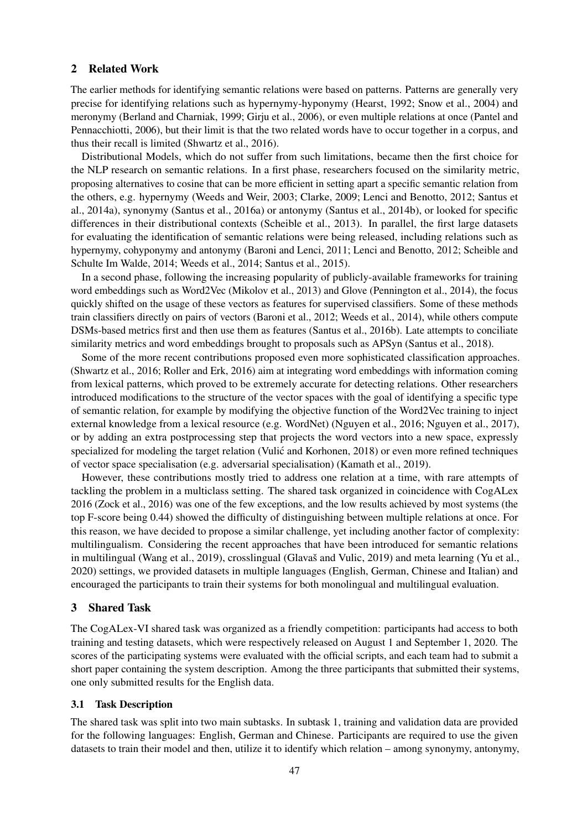### 2 Related Work

The earlier methods for identifying semantic relations were based on patterns. Patterns are generally very precise for identifying relations such as hypernymy-hyponymy (Hearst, 1992; Snow et al., 2004) and meronymy (Berland and Charniak, 1999; Girju et al., 2006), or even multiple relations at once (Pantel and Pennacchiotti, 2006), but their limit is that the two related words have to occur together in a corpus, and thus their recall is limited (Shwartz et al., 2016).

Distributional Models, which do not suffer from such limitations, became then the first choice for the NLP research on semantic relations. In a first phase, researchers focused on the similarity metric, proposing alternatives to cosine that can be more efficient in setting apart a specific semantic relation from the others, e.g. hypernymy (Weeds and Weir, 2003; Clarke, 2009; Lenci and Benotto, 2012; Santus et al., 2014a), synonymy (Santus et al., 2016a) or antonymy (Santus et al., 2014b), or looked for specific differences in their distributional contexts (Scheible et al., 2013). In parallel, the first large datasets for evaluating the identification of semantic relations were being released, including relations such as hypernymy, cohyponymy and antonymy (Baroni and Lenci, 2011; Lenci and Benotto, 2012; Scheible and Schulte Im Walde, 2014; Weeds et al., 2014; Santus et al., 2015).

In a second phase, following the increasing popularity of publicly-available frameworks for training word embeddings such as Word2Vec (Mikolov et al., 2013) and Glove (Pennington et al., 2014), the focus quickly shifted on the usage of these vectors as features for supervised classifiers. Some of these methods train classifiers directly on pairs of vectors (Baroni et al., 2012; Weeds et al., 2014), while others compute DSMs-based metrics first and then use them as features (Santus et al., 2016b). Late attempts to conciliate similarity metrics and word embeddings brought to proposals such as APSyn (Santus et al., 2018).

Some of the more recent contributions proposed even more sophisticated classification approaches. (Shwartz et al., 2016; Roller and Erk, 2016) aim at integrating word embeddings with information coming from lexical patterns, which proved to be extremely accurate for detecting relations. Other researchers introduced modifications to the structure of the vector spaces with the goal of identifying a specific type of semantic relation, for example by modifying the objective function of the Word2Vec training to inject external knowledge from a lexical resource (e.g. WordNet) (Nguyen et al., 2016; Nguyen et al., 2017), or by adding an extra postprocessing step that projects the word vectors into a new space, expressly specialized for modeling the target relation (Vulić and Korhonen, 2018) or even more refined techniques of vector space specialisation (e.g. adversarial specialisation) (Kamath et al., 2019).

However, these contributions mostly tried to address one relation at a time, with rare attempts of tackling the problem in a multiclass setting. The shared task organized in coincidence with CogALex 2016 (Zock et al., 2016) was one of the few exceptions, and the low results achieved by most systems (the top F-score being 0.44) showed the difficulty of distinguishing between multiple relations at once. For this reason, we have decided to propose a similar challenge, yet including another factor of complexity: multilingualism. Considering the recent approaches that have been introduced for semantic relations in multilingual (Wang et al., 2019), crosslingual (Glavaš and Vulic, 2019) and meta learning (Yu et al., 2020) settings, we provided datasets in multiple languages (English, German, Chinese and Italian) and encouraged the participants to train their systems for both monolingual and multilingual evaluation.

## 3 Shared Task

The CogALex-VI shared task was organized as a friendly competition: participants had access to both training and testing datasets, which were respectively released on August 1 and September 1, 2020. The scores of the participating systems were evaluated with the official scripts, and each team had to submit a short paper containing the system description. Among the three participants that submitted their systems, one only submitted results for the English data.

#### 3.1 Task Description

The shared task was split into two main subtasks. In subtask 1, training and validation data are provided for the following languages: English, German and Chinese. Participants are required to use the given datasets to train their model and then, utilize it to identify which relation – among synonymy, antonymy,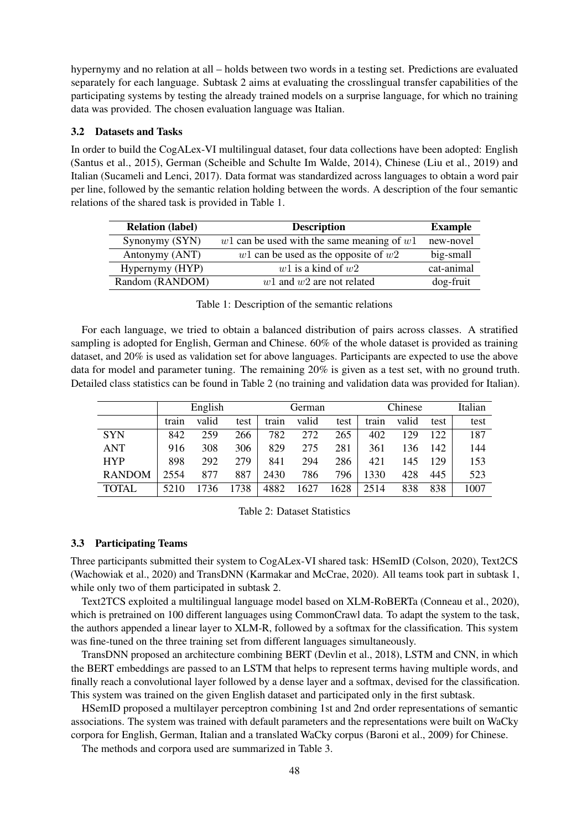hypernymy and no relation at all – holds between two words in a testing set. Predictions are evaluated separately for each language. Subtask 2 aims at evaluating the crosslingual transfer capabilities of the participating systems by testing the already trained models on a surprise language, for which no training data was provided. The chosen evaluation language was Italian.

#### 3.2 Datasets and Tasks

In order to build the CogALex-VI multilingual dataset, four data collections have been adopted: English (Santus et al., 2015), German (Scheible and Schulte Im Walde, 2014), Chinese (Liu et al., 2019) and Italian (Sucameli and Lenci, 2017). Data format was standardized across languages to obtain a word pair per line, followed by the semantic relation holding between the words. A description of the four semantic relations of the shared task is provided in Table 1.

| <b>Relation (label)</b> | <b>Description</b>                             | <b>Example</b> |
|-------------------------|------------------------------------------------|----------------|
| Synonymy (SYN)          | $w1$ can be used with the same meaning of $w1$ | new-novel      |
| Antonymy (ANT)          | $w1$ can be used as the opposite of $w2$       | big-small      |
| Hypernymy (HYP)         | $w1$ is a kind of $w2$                         | cat-animal     |
| Random (RANDOM)         | $w1$ and $w2$ are not related                  | dog-fruit      |

Table 1: Description of the semantic relations

For each language, we tried to obtain a balanced distribution of pairs across classes. A stratified sampling is adopted for English, German and Chinese. 60% of the whole dataset is provided as training dataset, and 20% is used as validation set for above languages. Participants are expected to use the above data for model and parameter tuning. The remaining 20% is given as a test set, with no ground truth. Detailed class statistics can be found in Table 2 (no training and validation data was provided for Italian).

|               | English |       | German |       |       | Chinese |       | Italian |      |      |
|---------------|---------|-------|--------|-------|-------|---------|-------|---------|------|------|
|               | train   | valid | test   | train | valid | test    | train | valid   | test | test |
| <b>SYN</b>    | 842     | 259   | 266    | 782   | 272   | 265     | 402   | 129     | 122  | 187  |
| <b>ANT</b>    | 916     | 308   | 306    | 829   | 275   | 281     | 361   | 136     | 142  | 144  |
| <b>HYP</b>    | 898     | 292   | 279    | 841   | 294   | 286     | 421   | 145     | 129  | 153  |
| <b>RANDOM</b> | 2554    | 877   | 887    | 2430  | 786   | 796     | 1330  | 428     | 445  | 523  |
| TOTAL         | 5210    | 736   | 738    | 4882  | 1627  | 628     | 2514  | 838     | 838  | 1007 |

Table 2: Dataset Statistics

#### 3.3 Participating Teams

Three participants submitted their system to CogALex-VI shared task: HSemID (Colson, 2020), Text2CS (Wachowiak et al., 2020) and TransDNN (Karmakar and McCrae, 2020). All teams took part in subtask 1, while only two of them participated in subtask 2.

Text2TCS exploited a multilingual language model based on XLM-RoBERTa (Conneau et al., 2020), which is pretrained on 100 different languages using CommonCrawl data. To adapt the system to the task, the authors appended a linear layer to XLM-R, followed by a softmax for the classification. This system was fine-tuned on the three training set from different languages simultaneously.

TransDNN proposed an architecture combining BERT (Devlin et al., 2018), LSTM and CNN, in which the BERT embeddings are passed to an LSTM that helps to represent terms having multiple words, and finally reach a convolutional layer followed by a dense layer and a softmax, devised for the classification. This system was trained on the given English dataset and participated only in the first subtask.

HSemID proposed a multilayer perceptron combining 1st and 2nd order representations of semantic associations. The system was trained with default parameters and the representations were built on WaCky corpora for English, German, Italian and a translated WaCky corpus (Baroni et al., 2009) for Chinese.

The methods and corpora used are summarized in Table 3.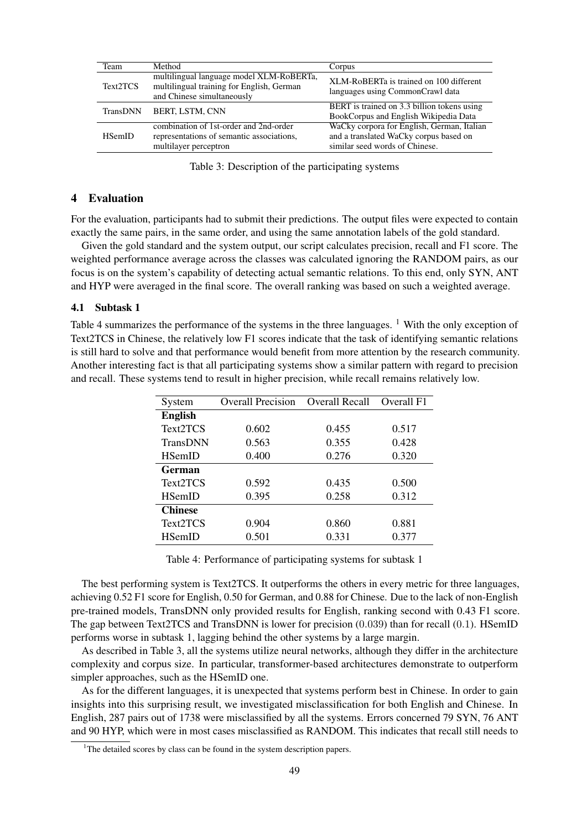| Team            | Method                                                                                                              | Corpus                                                                                                                 |
|-----------------|---------------------------------------------------------------------------------------------------------------------|------------------------------------------------------------------------------------------------------------------------|
| Text2TCS        | multilingual language model XLM-RoBERTa,<br>multilingual training for English, German<br>and Chinese simultaneously | XLM-RoBERTa is trained on 100 different<br>languages using CommonCrawl data                                            |
| <b>TransDNN</b> | <b>BERT, LSTM, CNN</b>                                                                                              | BERT is trained on 3.3 billion tokens using<br>BookCorpus and English Wikipedia Data                                   |
| <b>H</b> SemID  | combination of 1st-order and 2nd-order<br>representations of semantic associations,<br>multilayer perceptron        | WaCky corpora for English, German, Italian<br>and a translated WaCky corpus based on<br>similar seed words of Chinese. |

Table 3: Description of the participating systems

## 4 Evaluation

For the evaluation, participants had to submit their predictions. The output files were expected to contain exactly the same pairs, in the same order, and using the same annotation labels of the gold standard.

Given the gold standard and the system output, our script calculates precision, recall and F1 score. The weighted performance average across the classes was calculated ignoring the RANDOM pairs, as our focus is on the system's capability of detecting actual semantic relations. To this end, only SYN, ANT and HYP were averaged in the final score. The overall ranking was based on such a weighted average.

#### 4.1 Subtask 1

Table 4 summarizes the performance of the systems in the three languages. <sup>1</sup> With the only exception of Text2TCS in Chinese, the relatively low F1 scores indicate that the task of identifying semantic relations is still hard to solve and that performance would benefit from more attention by the research community. Another interesting fact is that all participating systems show a similar pattern with regard to precision and recall. These systems tend to result in higher precision, while recall remains relatively low.

| System         | <b>Overall Precision</b> | Overall Recall | Overall F1 |  |
|----------------|--------------------------|----------------|------------|--|
| <b>English</b> |                          |                |            |  |
| Text2TCS       | 0.602                    | 0.455          | 0.517      |  |
| TransDNN       | 0.563                    | 0.355          | 0.428      |  |
| <b>HSemID</b>  | 0.400                    | 0.276          | 0.320      |  |
| German         |                          |                |            |  |
| Text2TCS       | 0.592                    | 0.435          | 0.500      |  |
| <b>HSemID</b>  | 0.395                    | 0.258          | 0.312      |  |
| <b>Chinese</b> |                          |                |            |  |
| Text2TCS       | 0.904                    | 0.860          | 0.881      |  |
| <b>HSemID</b>  | 0.501                    | 0.331          | 0.377      |  |

Table 4: Performance of participating systems for subtask 1

The best performing system is Text2TCS. It outperforms the others in every metric for three languages, achieving 0.52 F1 score for English, 0.50 for German, and 0.88 for Chinese. Due to the lack of non-English pre-trained models, TransDNN only provided results for English, ranking second with 0.43 F1 score. The gap between Text2TCS and TransDNN is lower for precision (0.039) than for recall (0.1). HSemID performs worse in subtask 1, lagging behind the other systems by a large margin.

As described in Table 3, all the systems utilize neural networks, although they differ in the architecture complexity and corpus size. In particular, transformer-based architectures demonstrate to outperform simpler approaches, such as the HSemID one.

As for the different languages, it is unexpected that systems perform best in Chinese. In order to gain insights into this surprising result, we investigated misclassification for both English and Chinese. In English, 287 pairs out of 1738 were misclassified by all the systems. Errors concerned 79 SYN, 76 ANT and 90 HYP, which were in most cases misclassified as RANDOM. This indicates that recall still needs to

<sup>&</sup>lt;sup>1</sup>The detailed scores by class can be found in the system description papers.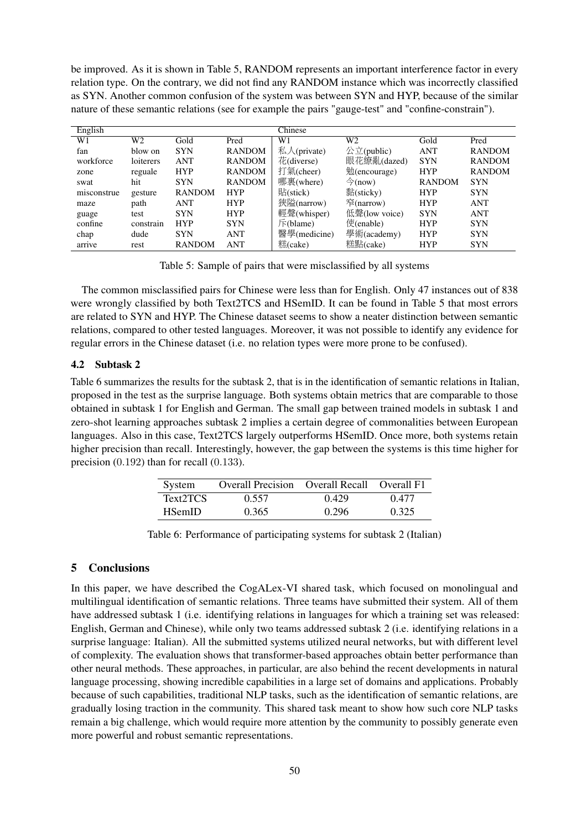be improved. As it is shown in Table 5, RANDOM represents an important interference factor in every relation type. On the contrary, we did not find any RANDOM instance which was incorrectly classified as SYN. Another common confusion of the system was between SYN and HYP, because of the similar nature of these semantic relations (see for example the pairs "gauge-test" and "confine-constrain").

| English     |           |               |               | Chinese        |                      |               |               |
|-------------|-----------|---------------|---------------|----------------|----------------------|---------------|---------------|
| W1          | W2        | Gold          | Pred          | W <sub>1</sub> | W2                   | Gold          | Pred          |
| fan         | blow on   | <b>SYN</b>    | <b>RANDOM</b> | 私人(private)    | 公立(public)           | <b>ANT</b>    | <b>RANDOM</b> |
| workforce   | loiterers | <b>ANT</b>    | <b>RANDOM</b> | $#$ (diverse)  | 眼花繚亂(dazed)          | <b>SYN</b>    | <b>RANDOM</b> |
| zone        | reguale   | <b>HYP</b>    | <b>RANDOM</b> | 打氣(cheer)      | $%$ (encourage)      | <b>HYP</b>    | <b>RANDOM</b> |
| swat        | hit       | <b>SYN</b>    | <b>RANDOM</b> | 哪裏(where)      | $\hat{\gamma}$ (now) | <b>RANDOM</b> | <b>SYN</b>    |
| misconstrue | gesture   | <b>RANDOM</b> | <b>HYP</b>    | 貼(stick)       | 黏(sticky)            | <b>HYP</b>    | <b>SYN</b>    |
| maze        | path      | <b>ANT</b>    | <b>HYP</b>    | 狹隘(narrow)     | 窄 $($ narrow $)$     | <b>HYP</b>    | <b>ANT</b>    |
| guage       | test      | <b>SYN</b>    | <b>HYP</b>    | 輕聲(whisper)    | 低聲(low voice)        | <b>SYN</b>    | <b>ANT</b>    |
| confine     | constrain | <b>HYP</b>    | <b>SYN</b>    | 斥(blame)       | $($ $($ enable $)$   | <b>HYP</b>    | <b>SYN</b>    |
| chap        | dude      | <b>SYN</b>    | <b>ANT</b>    | 醫學(medicine)   | 學術(academy)          | <b>HYP</b>    | <b>SYN</b>    |
| arrive      | rest      | <b>RANDOM</b> | <b>ANT</b>    | 糕(cake)        | 糕點(cake)             | <b>HYP</b>    | <b>SYN</b>    |
|             |           |               |               |                |                      |               |               |

Table 5: Sample of pairs that were misclassified by all systems

The common misclassified pairs for Chinese were less than for English. Only 47 instances out of 838 were wrongly classified by both Text2TCS and HSemID. It can be found in Table 5 that most errors are related to SYN and HYP. The Chinese dataset seems to show a neater distinction between semantic relations, compared to other tested languages. Moreover, it was not possible to identify any evidence for regular errors in the Chinese dataset (i.e. no relation types were more prone to be confused).

## 4.2 Subtask 2

Table 6 summarizes the results for the subtask 2, that is in the identification of semantic relations in Italian, proposed in the test as the surprise language. Both systems obtain metrics that are comparable to those obtained in subtask 1 for English and German. The small gap between trained models in subtask 1 and zero-shot learning approaches subtask 2 implies a certain degree of commonalities between European languages. Also in this case, Text2TCS largely outperforms HSemID. Once more, both systems retain higher precision than recall. Interestingly, however, the gap between the systems is this time higher for precision (0.192) than for recall (0.133).

| System        | Overall Precision Overall Recall Overall F1 |       |       |
|---------------|---------------------------------------------|-------|-------|
| Text2TCS      | 0.557                                       | 0.429 | 0.477 |
| <b>HSemID</b> | 0.365                                       | 0.296 | 0.325 |

Table 6: Performance of participating systems for subtask 2 (Italian)

## 5 Conclusions

In this paper, we have described the CogALex-VI shared task, which focused on monolingual and multilingual identification of semantic relations. Three teams have submitted their system. All of them have addressed subtask 1 (i.e. identifying relations in languages for which a training set was released: English, German and Chinese), while only two teams addressed subtask 2 (i.e. identifying relations in a surprise language: Italian). All the submitted systems utilized neural networks, but with different level of complexity. The evaluation shows that transformer-based approaches obtain better performance than other neural methods. These approaches, in particular, are also behind the recent developments in natural language processing, showing incredible capabilities in a large set of domains and applications. Probably because of such capabilities, traditional NLP tasks, such as the identification of semantic relations, are gradually losing traction in the community. This shared task meant to show how such core NLP tasks remain a big challenge, which would require more attention by the community to possibly generate even more powerful and robust semantic representations.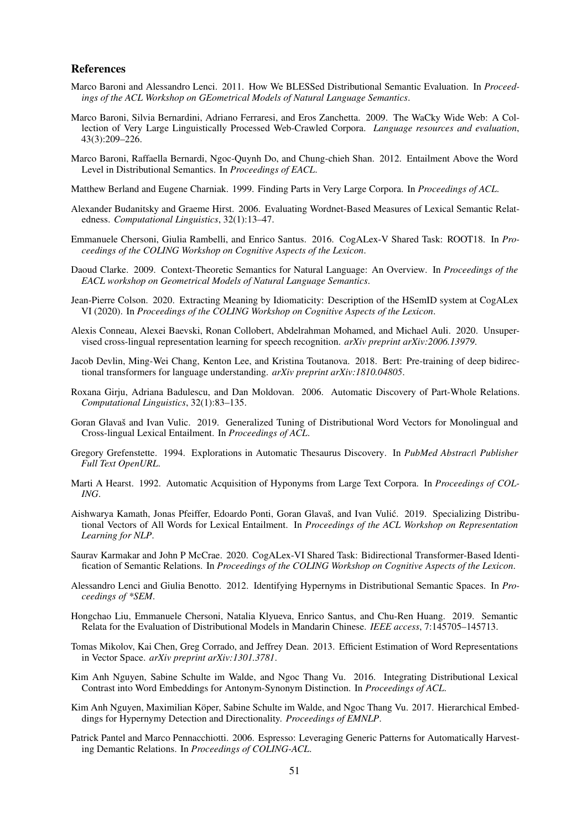#### References

- Marco Baroni and Alessandro Lenci. 2011. How We BLESSed Distributional Semantic Evaluation. In *Proceedings of the ACL Workshop on GEometrical Models of Natural Language Semantics*.
- Marco Baroni, Silvia Bernardini, Adriano Ferraresi, and Eros Zanchetta. 2009. The WaCky Wide Web: A Collection of Very Large Linguistically Processed Web-Crawled Corpora. *Language resources and evaluation*, 43(3):209–226.
- Marco Baroni, Raffaella Bernardi, Ngoc-Quynh Do, and Chung-chieh Shan. 2012. Entailment Above the Word Level in Distributional Semantics. In *Proceedings of EACL*.
- Matthew Berland and Eugene Charniak. 1999. Finding Parts in Very Large Corpora. In *Proceedings of ACL*.
- Alexander Budanitsky and Graeme Hirst. 2006. Evaluating Wordnet-Based Measures of Lexical Semantic Relatedness. *Computational Linguistics*, 32(1):13–47.
- Emmanuele Chersoni, Giulia Rambelli, and Enrico Santus. 2016. CogALex-V Shared Task: ROOT18. In *Proceedings of the COLING Workshop on Cognitive Aspects of the Lexicon*.
- Daoud Clarke. 2009. Context-Theoretic Semantics for Natural Language: An Overview. In *Proceedings of the EACL workshop on Geometrical Models of Natural Language Semantics*.
- Jean-Pierre Colson. 2020. Extracting Meaning by Idiomaticity: Description of the HSemID system at CogALex VI (2020). In *Proceedings of the COLING Workshop on Cognitive Aspects of the Lexicon*.
- Alexis Conneau, Alexei Baevski, Ronan Collobert, Abdelrahman Mohamed, and Michael Auli. 2020. Unsupervised cross-lingual representation learning for speech recognition. *arXiv preprint arXiv:2006.13979*.
- Jacob Devlin, Ming-Wei Chang, Kenton Lee, and Kristina Toutanova. 2018. Bert: Pre-training of deep bidirectional transformers for language understanding. *arXiv preprint arXiv:1810.04805*.
- Roxana Girju, Adriana Badulescu, and Dan Moldovan. 2006. Automatic Discovery of Part-Whole Relations. *Computational Linguistics*, 32(1):83–135.
- Goran Glavaš and Ivan Vulic. 2019. Generalized Tuning of Distributional Word Vectors for Monolingual and Cross-lingual Lexical Entailment. In *Proceedings of ACL*.
- Gregory Grefenstette. 1994. Explorations in Automatic Thesaurus Discovery. In *PubMed Abstract| Publisher Full Text OpenURL*.
- Marti A Hearst. 1992. Automatic Acquisition of Hyponyms from Large Text Corpora. In *Proceedings of COL-ING*.
- Aishwarya Kamath, Jonas Pfeiffer, Edoardo Ponti, Goran Glavaš, and Ivan Vulic. 2019. Specializing Distribu- ´ tional Vectors of All Words for Lexical Entailment. In *Proceedings of the ACL Workshop on Representation Learning for NLP*.
- Saurav Karmakar and John P McCrae. 2020. CogALex-VI Shared Task: Bidirectional Transformer-Based Identification of Semantic Relations. In *Proceedings of the COLING Workshop on Cognitive Aspects of the Lexicon*.
- Alessandro Lenci and Giulia Benotto. 2012. Identifying Hypernyms in Distributional Semantic Spaces. In *Proceedings of \*SEM*.
- Hongchao Liu, Emmanuele Chersoni, Natalia Klyueva, Enrico Santus, and Chu-Ren Huang. 2019. Semantic Relata for the Evaluation of Distributional Models in Mandarin Chinese. *IEEE access*, 7:145705–145713.
- Tomas Mikolov, Kai Chen, Greg Corrado, and Jeffrey Dean. 2013. Efficient Estimation of Word Representations in Vector Space. *arXiv preprint arXiv:1301.3781*.
- Kim Anh Nguyen, Sabine Schulte im Walde, and Ngoc Thang Vu. 2016. Integrating Distributional Lexical Contrast into Word Embeddings for Antonym-Synonym Distinction. In *Proceedings of ACL*.
- Kim Anh Nguyen, Maximilian Köper, Sabine Schulte im Walde, and Ngoc Thang Vu. 2017. Hierarchical Embeddings for Hypernymy Detection and Directionality. *Proceedings of EMNLP*.
- Patrick Pantel and Marco Pennacchiotti. 2006. Espresso: Leveraging Generic Patterns for Automatically Harvesting Demantic Relations. In *Proceedings of COLING-ACL*.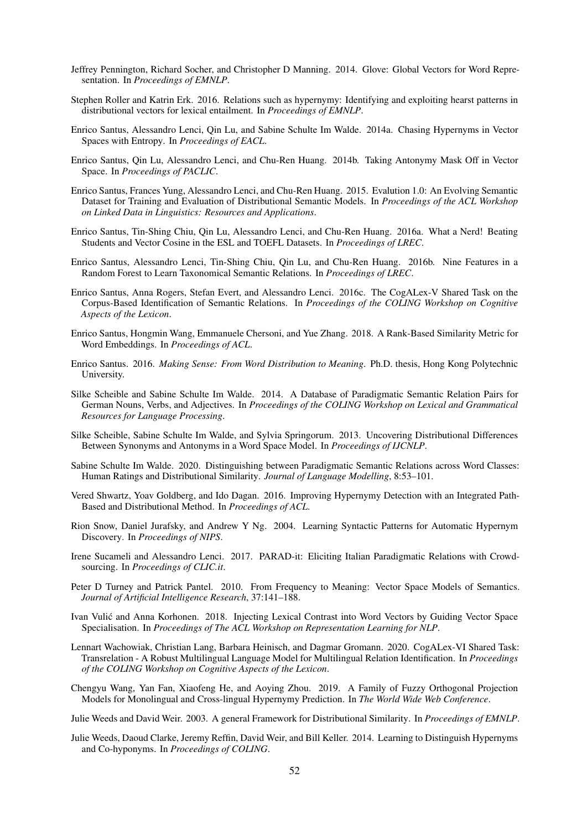- Jeffrey Pennington, Richard Socher, and Christopher D Manning. 2014. Glove: Global Vectors for Word Representation. In *Proceedings of EMNLP*.
- Stephen Roller and Katrin Erk. 2016. Relations such as hypernymy: Identifying and exploiting hearst patterns in distributional vectors for lexical entailment. In *Proceedings of EMNLP*.
- Enrico Santus, Alessandro Lenci, Qin Lu, and Sabine Schulte Im Walde. 2014a. Chasing Hypernyms in Vector Spaces with Entropy. In *Proceedings of EACL*.
- Enrico Santus, Qin Lu, Alessandro Lenci, and Chu-Ren Huang. 2014b. Taking Antonymy Mask Off in Vector Space. In *Proceedings of PACLIC*.
- Enrico Santus, Frances Yung, Alessandro Lenci, and Chu-Ren Huang. 2015. Evalution 1.0: An Evolving Semantic Dataset for Training and Evaluation of Distributional Semantic Models. In *Proceedings of the ACL Workshop on Linked Data in Linguistics: Resources and Applications*.
- Enrico Santus, Tin-Shing Chiu, Qin Lu, Alessandro Lenci, and Chu-Ren Huang. 2016a. What a Nerd! Beating Students and Vector Cosine in the ESL and TOEFL Datasets. In *Proceedings of LREC*.
- Enrico Santus, Alessandro Lenci, Tin-Shing Chiu, Qin Lu, and Chu-Ren Huang. 2016b. Nine Features in a Random Forest to Learn Taxonomical Semantic Relations. In *Proceedings of LREC*.
- Enrico Santus, Anna Rogers, Stefan Evert, and Alessandro Lenci. 2016c. The CogALex-V Shared Task on the Corpus-Based Identification of Semantic Relations. In *Proceedings of the COLING Workshop on Cognitive Aspects of the Lexicon*.
- Enrico Santus, Hongmin Wang, Emmanuele Chersoni, and Yue Zhang. 2018. A Rank-Based Similarity Metric for Word Embeddings. In *Proceedings of ACL*.
- Enrico Santus. 2016. *Making Sense: From Word Distribution to Meaning*. Ph.D. thesis, Hong Kong Polytechnic University.
- Silke Scheible and Sabine Schulte Im Walde. 2014. A Database of Paradigmatic Semantic Relation Pairs for German Nouns, Verbs, and Adjectives. In *Proceedings of the COLING Workshop on Lexical and Grammatical Resources for Language Processing*.
- Silke Scheible, Sabine Schulte Im Walde, and Sylvia Springorum. 2013. Uncovering Distributional Differences Between Synonyms and Antonyms in a Word Space Model. In *Proceedings of IJCNLP*.
- Sabine Schulte Im Walde. 2020. Distinguishing between Paradigmatic Semantic Relations across Word Classes: Human Ratings and Distributional Similarity. *Journal of Language Modelling*, 8:53–101.
- Vered Shwartz, Yoav Goldberg, and Ido Dagan. 2016. Improving Hypernymy Detection with an Integrated Path-Based and Distributional Method. In *Proceedings of ACL*.
- Rion Snow, Daniel Jurafsky, and Andrew Y Ng. 2004. Learning Syntactic Patterns for Automatic Hypernym Discovery. In *Proceedings of NIPS*.
- Irene Sucameli and Alessandro Lenci. 2017. PARAD-it: Eliciting Italian Paradigmatic Relations with Crowdsourcing. In *Proceedings of CLIC.it*.
- Peter D Turney and Patrick Pantel. 2010. From Frequency to Meaning: Vector Space Models of Semantics. *Journal of Artificial Intelligence Research*, 37:141–188.
- Ivan Vulic and Anna Korhonen. 2018. Injecting Lexical Contrast into Word Vectors by Guiding Vector Space ´ Specialisation. In *Proceedings of The ACL Workshop on Representation Learning for NLP*.
- Lennart Wachowiak, Christian Lang, Barbara Heinisch, and Dagmar Gromann. 2020. CogALex-VI Shared Task: Transrelation - A Robust Multilingual Language Model for Multilingual Relation Identification. In *Proceedings of the COLING Workshop on Cognitive Aspects of the Lexicon*.
- Chengyu Wang, Yan Fan, Xiaofeng He, and Aoying Zhou. 2019. A Family of Fuzzy Orthogonal Projection Models for Monolingual and Cross-lingual Hypernymy Prediction. In *The World Wide Web Conference*.

Julie Weeds and David Weir. 2003. A general Framework for Distributional Similarity. In *Proceedings of EMNLP*.

Julie Weeds, Daoud Clarke, Jeremy Reffin, David Weir, and Bill Keller. 2014. Learning to Distinguish Hypernyms and Co-hyponyms. In *Proceedings of COLING*.